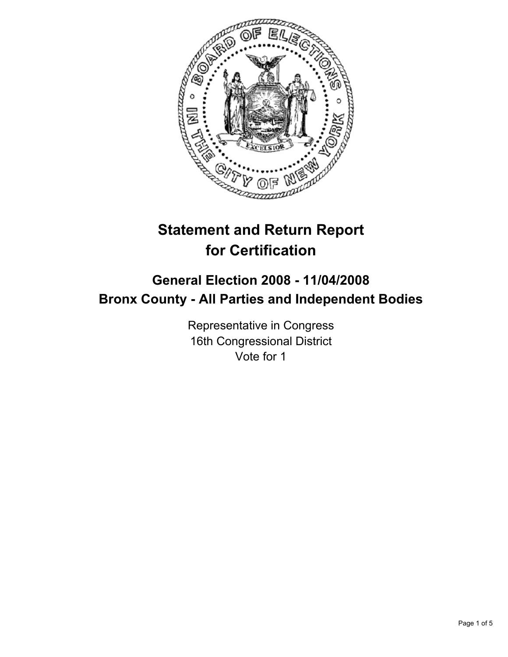

# **Statement and Return Report for Certification**

# **General Election 2008 - 11/04/2008 Bronx County - All Parties and Independent Bodies**

Representative in Congress 16th Congressional District Vote for 1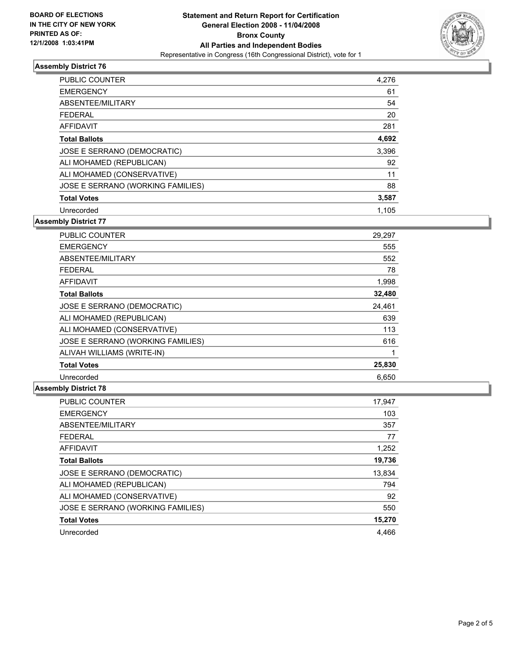

## **Assembly District 76**

| PUBLIC COUNTER                    | 4,276 |
|-----------------------------------|-------|
| <b>EMERGENCY</b>                  | 61    |
| ABSENTEE/MILITARY                 | 54    |
| <b>FEDERAL</b>                    | 20    |
| <b>AFFIDAVIT</b>                  | 281   |
| <b>Total Ballots</b>              | 4,692 |
| JOSE E SERRANO (DEMOCRATIC)       | 3,396 |
| ALI MOHAMED (REPUBLICAN)          | 92    |
| ALI MOHAMED (CONSERVATIVE)        | 11    |
| JOSE E SERRANO (WORKING FAMILIES) | 88    |
| <b>Total Votes</b>                | 3,587 |
| Unrecorded                        | 1.105 |

**Assembly District 77**

| <b>PUBLIC COUNTER</b>             | 29,297 |
|-----------------------------------|--------|
| <b>EMERGENCY</b>                  | 555    |
| ABSENTEE/MILITARY                 | 552    |
| <b>FEDERAL</b>                    | 78     |
| <b>AFFIDAVIT</b>                  | 1,998  |
| <b>Total Ballots</b>              | 32,480 |
| JOSE E SERRANO (DEMOCRATIC)       | 24.461 |
| ALI MOHAMED (REPUBLICAN)          | 639    |
| ALI MOHAMED (CONSERVATIVE)        | 113    |
| JOSE E SERRANO (WORKING FAMILIES) | 616    |
| ALIVAH WILLIAMS (WRITE-IN)        |        |
| <b>Total Votes</b>                | 25,830 |
| Unrecorded                        | 6.650  |

## **Assembly District 78**

| 17,947 |
|--------|
| 103    |
| 357    |
| 77     |
| 1,252  |
| 19,736 |
| 13,834 |
| 794    |
| 92     |
| 550    |
| 15,270 |
| 4.466  |
|        |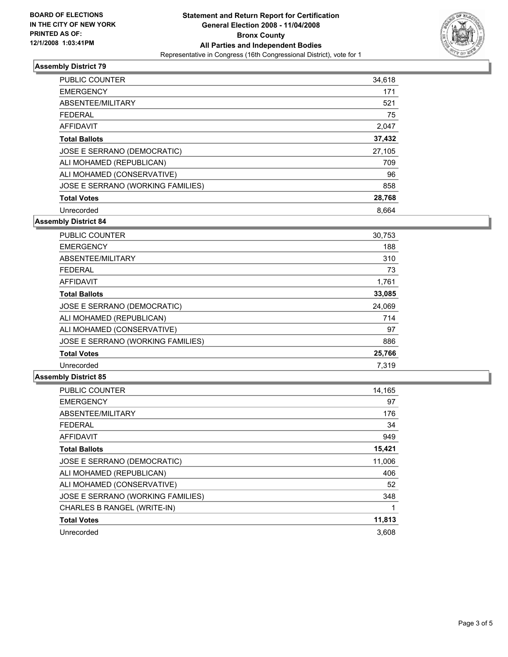

## **Assembly District 79**

| PUBLIC COUNTER                    | 34,618 |
|-----------------------------------|--------|
| <b>EMERGENCY</b>                  | 171    |
| ABSENTEE/MILITARY                 | 521    |
| <b>FEDERAL</b>                    | 75     |
| <b>AFFIDAVIT</b>                  | 2,047  |
| <b>Total Ballots</b>              | 37,432 |
| JOSE E SERRANO (DEMOCRATIC)       | 27,105 |
| ALI MOHAMED (REPUBLICAN)          | 709    |
| ALI MOHAMED (CONSERVATIVE)        | 96     |
| JOSE E SERRANO (WORKING FAMILIES) | 858    |
| <b>Total Votes</b>                | 28,768 |
| Unrecorded                        | 8.664  |

**Assembly District 84**

| <b>PUBLIC COUNTER</b>             | 30,753 |
|-----------------------------------|--------|
| <b>EMERGENCY</b>                  | 188    |
| ABSENTEE/MILITARY                 | 310    |
| <b>FEDERAL</b>                    | 73     |
| AFFIDAVIT                         | 1,761  |
| <b>Total Ballots</b>              | 33,085 |
| JOSE E SERRANO (DEMOCRATIC)       | 24,069 |
| ALI MOHAMED (REPUBLICAN)          | 714    |
| ALI MOHAMED (CONSERVATIVE)        | 97     |
| JOSE E SERRANO (WORKING FAMILIES) | 886    |
| <b>Total Votes</b>                | 25,766 |
| Unrecorded                        | 7.319  |

#### **Assembly District 85**

| <b>PUBLIC COUNTER</b>             | 14,165 |
|-----------------------------------|--------|
| <b>EMERGENCY</b>                  | 97     |
| ABSENTEE/MILITARY                 | 176    |
| <b>FEDERAL</b>                    | 34     |
| <b>AFFIDAVIT</b>                  | 949    |
| <b>Total Ballots</b>              | 15,421 |
| JOSE E SERRANO (DEMOCRATIC)       | 11,006 |
| ALI MOHAMED (REPUBLICAN)          | 406    |
| ALI MOHAMED (CONSERVATIVE)        | 52     |
| JOSE E SERRANO (WORKING FAMILIES) | 348    |
| CHARLES B RANGEL (WRITE-IN)       |        |
| <b>Total Votes</b>                | 11,813 |
| Unrecorded                        | 3.608  |
|                                   |        |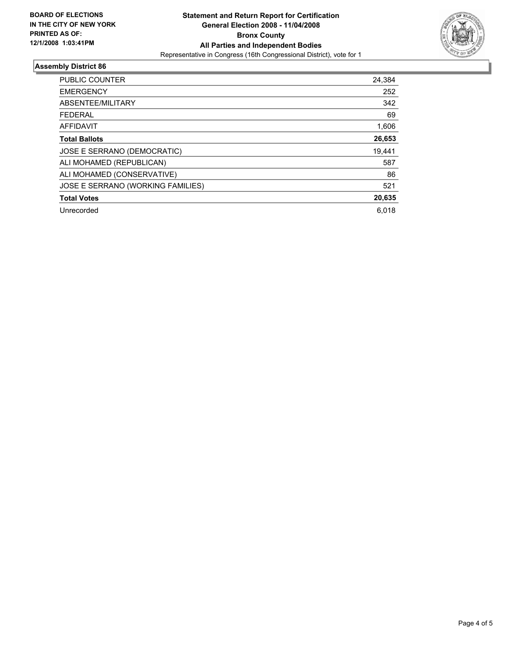

## **Assembly District 86**

| PUBLIC COUNTER                    | 24,384 |
|-----------------------------------|--------|
| <b>EMERGENCY</b>                  | 252    |
| ABSENTEE/MILITARY                 | 342    |
| <b>FEDERAL</b>                    | 69     |
| AFFIDAVIT                         | 1,606  |
| <b>Total Ballots</b>              | 26,653 |
| JOSE E SERRANO (DEMOCRATIC)       | 19,441 |
| ALI MOHAMED (REPUBLICAN)          | 587    |
| ALI MOHAMED (CONSERVATIVE)        | 86     |
| JOSE E SERRANO (WORKING FAMILIES) | 521    |
| <b>Total Votes</b>                | 20,635 |
| Unrecorded                        | 6,018  |